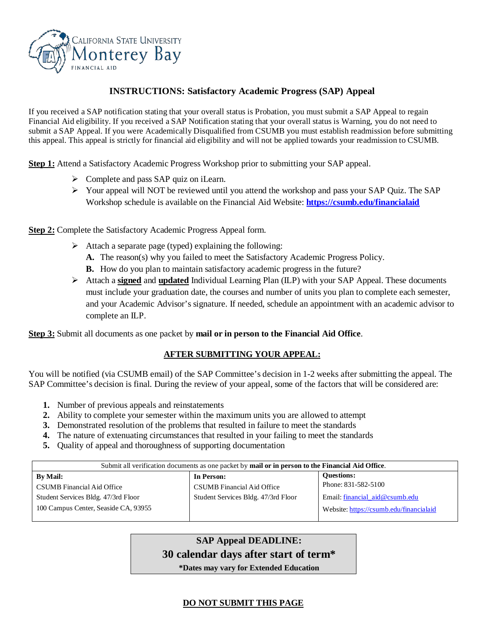

## **INSTRUCTIONS: Satisfactory Academic Progress (SAP) Appeal**

If you received a SAP notification stating that your overall status is Probation, you must submit a SAP Appeal to regain Financial Aid eligibility. If you received a SAP Notification stating that your overall status is Warning, you do not need to submit a SAP Appeal. If you were Academically Disqualified from CSUMB you must establish readmission before submitting this appeal. This appeal is strictly for financial aid eligibility and will not be applied towards your readmission to CSUMB.

**Step 1:** Attend a Satisfactory Academic Progress Workshop prior to submitting your SAP appeal.

- $\triangleright$  Complete and pass SAP quiz on iLearn.
- Your appeal will NOT be reviewed until you attend the workshop and pass your SAP Quiz. The SAP Workshop schedule is available on the Financial Aid Website: **<https://csumb.edu/financialaid>**

**Step 2:** Complete the Satisfactory Academic Progress Appeal form.

- $\triangleright$  Attach a separate page (typed) explaining the following:
	- **A.** The reason(s) why you failed to meet the Satisfactory Academic Progress Policy.
	- **B.** How do you plan to maintain satisfactory academic progress in the future?
- Attach a **signed** and **updated** Individual Learning Plan (ILP) with your SAP Appeal. These documents must include your graduation date, the courses and number of units you plan to complete each semester, and your Academic Advisor's signature. If needed, schedule an appointment with an academic advisor to complete an ILP.

**Step 3:** Submit all documents as one packet by **mail or in person to the Financial Aid Office**.

## **AFTER SUBMITTING YOUR APPEAL:**

You will be notified (via CSUMB email) of the SAP Committee's decision in 1-2 weeks after submitting the appeal. The SAP Committee's decision is final. During the review of your appeal, some of the factors that will be considered are:

- **1.** Number of previous appeals and reinstatements
- **2.** Ability to complete your semester within the maximum units you are allowed to attempt
- **3.** Demonstrated resolution of the problems that resulted in failure to meet the standards
- **4.** The nature of extenuating circumstances that resulted in your failing to meet the standards
- **5.** Quality of appeal and thoroughness of supporting documentation

| Submit all verification documents as one packet by mail or in person to the Financial Aid Office. |                                     |                                         |  |
|---------------------------------------------------------------------------------------------------|-------------------------------------|-----------------------------------------|--|
| <b>By Mail:</b>                                                                                   | In Person:                          | <b>Ouestions:</b>                       |  |
| CSUMB Financial Aid Office                                                                        | CSUMB Financial Aid Office          | Phone: 831-582-5100                     |  |
| Student Services Bldg. 47/3rd Floor                                                               | Student Services Bldg. 47/3rd Floor | Email: financial aid@csumb.edu          |  |
| 100 Campus Center, Seaside CA, 93955                                                              |                                     | Website: https://csumb.edu/financialaid |  |

## **SAP Appeal DEADLINE: 30 calendar days after start of term\***

**\*Dates may vary for Extended Education**

## **DO NOT SUBMIT THIS PAGE**